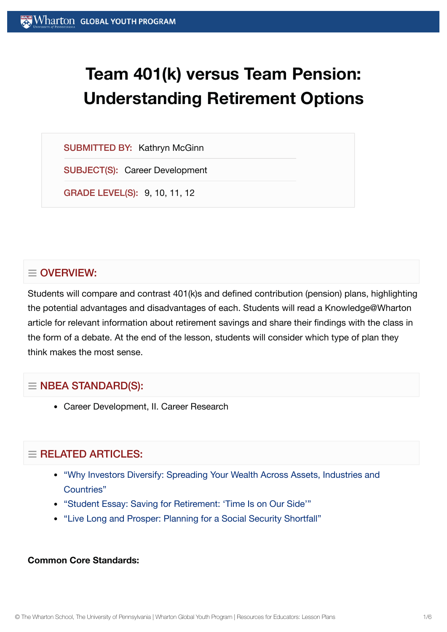# **Team 401(k) versus Team Pension: Understanding Retirement Options**

SUBMITTED BY: Kathryn McGinn

SUBJECT(S): Career Development

GRADE LEVEL(S): 9, 10, 11, 12

# $\equiv$  OVERVIEW:

Students will compare and contrast 401(k)s and defined contribution (pension) plans, highlighting the potential advantages and disadvantages of each. Students will read a Knowledge@Wharton article for relevant information about retirement savings and share their findings with the class in the form of a debate. At the end of the lesson, students will consider which type of plan they think makes the most sense.

## $\equiv$  NBEA STANDARD(S):

Career Development, II. Career Research

# $=$  RELATED ARTICLES:

- ["Why Investors Diversify:](https://globalyouth.wharton.upenn.edu/articles/why-investors-diversify-spreading-your-wealth-across-assets-industries-and-countries/) Spreading Your Wealth Across Assets, Industries and Countries"
- "Student Essay: Saving for [Retirement:](https://globalyouth.wharton.upenn.edu/articles/saving-retirement-time-side/) 'Time Is on Our Side'"
- "Live Long and Prosper: Planning for a Social [Security Shortfall"](https://globalyouth.wharton.upenn.edu/articles/live-long-and-prosper-planning-for-a-social-security-shortfall/)

#### **Common Core Standards:**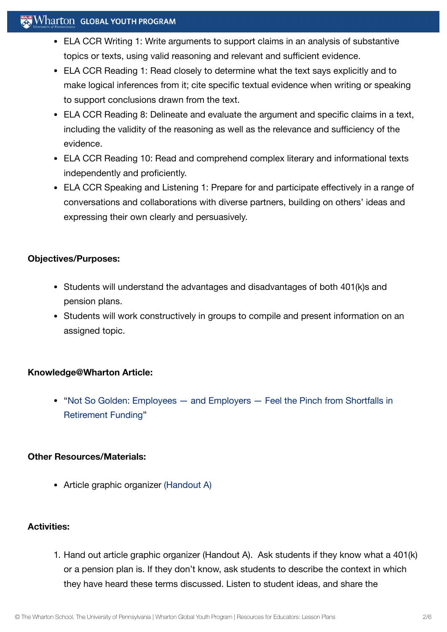## $\mathbb{R}^n$  Wharton Global Youth Program

- ELA CCR Writing 1: Write arguments to support claims in an analysis of substantive topics or texts, using valid reasoning and relevant and sufficient evidence.
- ELA CCR Reading 1: Read closely to determine what the text says explicitly and to make logical inferences from it; cite specific textual evidence when writing or speaking to support conclusions drawn from the text.
- ELA CCR Reading 8: Delineate and evaluate the argument and specific claims in a text, including the validity of the reasoning as well as the relevance and sufficiency of the evidence.
- ELA CCR Reading 10: Read and comprehend complex literary and informational texts independently and proficiently.
- ELA CCR Speaking and Listening 1: Prepare for and participate effectively in a range of conversations and collaborations with diverse partners, building on others' ideas and expressing their own clearly and persuasively.

#### **Objectives/Purposes:**

- Students will understand the advantages and disadvantages of both 401(k)s and pension plans.
- Students will work constructively in groups to compile and present information on an assigned topic.

#### **Knowledge@Wharton Article:**

"Not So Golden: [Employees — and](http://knowledge.wharton.upenn.edu/article.cfm?articleid=2193) Employers — Feel the Pinch from Shortfalls in Retirement Funding"

#### **Other Resources/Materials:**

• Article graphic organizer [\(Handout](https://globalyouth.wharton.upenn.edu/wp-content/uploads/2012/01/Career-Development-25_handoutA.pdf) A)

#### **Activities:**

1. Hand out article graphic organizer (Handout A). Ask students if they know what a 401(k) or a pension plan is. If they don't know, ask students to describe the context in which they have heard these terms discussed. Listen to student ideas, and share the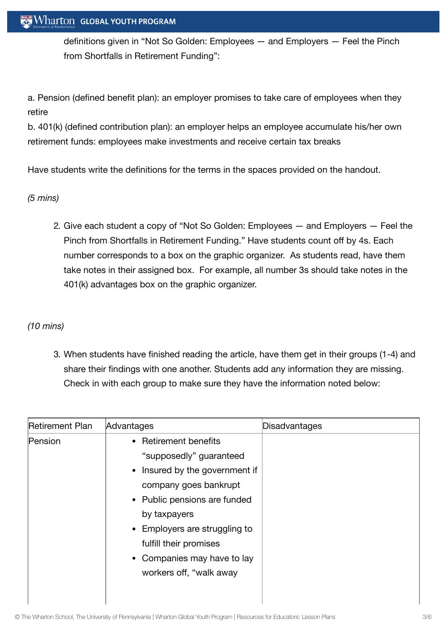## **Wharton GLOBAL YOUTH PROGRAM**

definitions given in "Not So Golden: Employees — and Employers — Feel the Pinch from Shortfalls in Retirement Funding":

a. Pension (defined benefit plan): an employer promises to take care of employees when they retire

b. 401(k) (defined contribution plan): an employer helps an employee accumulate his/her own retirement funds: employees make investments and receive certain tax breaks

Have students write the definitions for the terms in the spaces provided on the handout.

#### *(5 mins)*

2. Give each student a copy of "Not So Golden: Employees — and Employers — Feel the Pinch from Shortfalls in Retirement Funding." Have students count off by 4s. Each number corresponds to a box on the graphic organizer. As students read, have them take notes in their assigned box. For example, all number 3s should take notes in the 401(k) advantages box on the graphic organizer.

#### *(10 mins)*

3. When students have finished reading the article, have them get in their groups (1-4) and share their findings with one another. Students add any information they are missing. Check in with each group to make sure they have the information noted below:

| <b>Retirement Plan</b> | Advantages                                                                                                                                                                                                                                                                       | Disadvantages |
|------------------------|----------------------------------------------------------------------------------------------------------------------------------------------------------------------------------------------------------------------------------------------------------------------------------|---------------|
| Pension                | • Retirement benefits<br>"supposedly" guaranteed<br>• Insured by the government if<br>company goes bankrupt<br>• Public pensions are funded<br>by taxpayers<br>• Employers are struggling to<br>fulfill their promises<br>• Companies may have to lay<br>workers off, "walk away |               |
|                        |                                                                                                                                                                                                                                                                                  |               |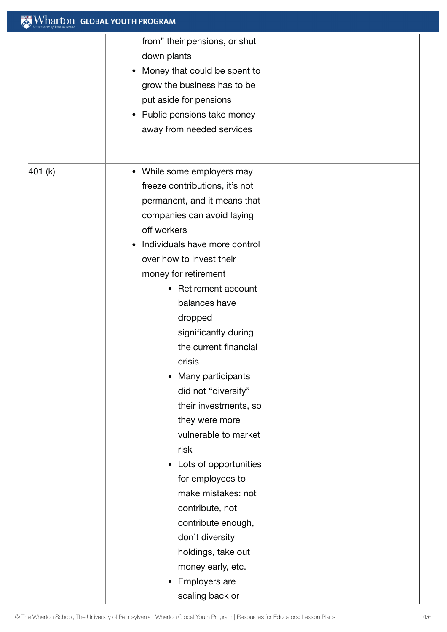|                                                                                                                                                                                                                                                                                                                                                                                                                                                                                                                                                                                                                                                                                                          | <b>Wharton GLOBAL YOUTH PROGRAM</b> |  |
|----------------------------------------------------------------------------------------------------------------------------------------------------------------------------------------------------------------------------------------------------------------------------------------------------------------------------------------------------------------------------------------------------------------------------------------------------------------------------------------------------------------------------------------------------------------------------------------------------------------------------------------------------------------------------------------------------------|-------------------------------------|--|
| from" their pensions, or shut<br>down plants<br>Money that could be spent to<br>$\bullet$<br>grow the business has to be<br>put aside for pensions<br>• Public pensions take money<br>away from needed services                                                                                                                                                                                                                                                                                                                                                                                                                                                                                          |                                     |  |
| 401 (k)<br>• While some employers may<br>freeze contributions, it's not<br>permanent, and it means that<br>companies can avoid laying<br>off workers<br>Individuals have more control<br>$\bullet$<br>over how to invest their<br>money for retirement<br>• Retirement account<br>balances have<br>dropped<br>significantly during<br>the current financial<br>crisis<br>Many participants<br>$\bullet$<br>did not "diversify"<br>their investments, so<br>they were more<br>vulnerable to market<br>risk<br>• Lots of opportunities<br>for employees to<br>make mistakes: not<br>contribute, not<br>contribute enough,<br>don't diversity<br>holdings, take out<br>money early, etc.<br>• Employers are |                                     |  |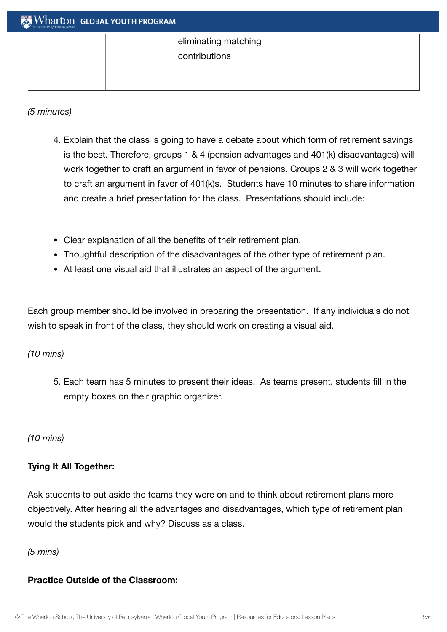*(5 minutes)*

- 4. Explain that the class is going to have a debate about which form of retirement savings is the best. Therefore, groups 1 & 4 (pension advantages and 401(k) disadvantages) will work together to craft an argument in favor of pensions. Groups 2 & 3 will work together to craft an argument in favor of 401(k)s. Students have 10 minutes to share information and create a brief presentation for the class. Presentations should include:
- Clear explanation of all the benefits of their retirement plan.
- Thoughtful description of the disadvantages of the other type of retirement plan.
- At least one visual aid that illustrates an aspect of the argument.

Each group member should be involved in preparing the presentation. If any individuals do not wish to speak in front of the class, they should work on creating a visual aid.

#### *(10 mins)*

5. Each team has 5 minutes to present their ideas. As teams present, students fill in the empty boxes on their graphic organizer.

*(10 mins)*

#### **Tying It All Together:**

Ask students to put aside the teams they were on and to think about retirement plans more objectively. After hearing all the advantages and disadvantages, which type of retirement plan would the students pick and why? Discuss as a class.

*(5 mins)*

#### **Practice Outside of the Classroom:**